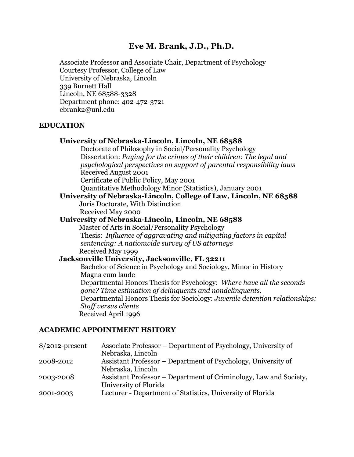## **Eve M. Brank, J.D., Ph.D.**

Associate Professor and Associate Chair, Department of Psychology Courtesy Professor, College of Law University of Nebraska, Lincoln 339 Burnett Hall Lincoln, NE 68588-3328 Department phone: 402-472-3721 ebrank2@unl.edu

#### **EDUCATION**

|  |              | University of Nebraska-Lincoln, Lincoln, NE 68588 |  |
|--|--------------|---------------------------------------------------|--|
|  | $\mathbf{1}$ |                                                   |  |

Doctorate of Philosophy in Social/Personality Psychology Dissertation: *Paying for the crimes of their children: The legal and psychological perspectives on support of parental responsibility laws* Received August 2001

Certificate of Public Policy, May 2001

Quantitative Methodology Minor (Statistics), January 2001

**University of Nebraska-Lincoln, College of Law, Lincoln, NE 68588** Juris Doctorate, With Distinction

Received May 2000

**University of Nebraska-Lincoln, Lincoln, NE 68588** Master of Arts in Social/Personality Psychology Thesis: *Influence of aggravating and mitigating factors in capital sentencing: A nationwide survey of US attorneys* Received May 1999

**Jacksonville University, Jacksonville, FL 32211**

Bachelor of Science in Psychology and Sociology, Minor in History Magna cum laude Departmental Honors Thesis for Psychology: *Where have all the seconds gone? Time estimation of delinquents and nondelinquents*. Departmental Honors Thesis for Sociology: *Juvenile detention relationships: Staff versus clients*  Received April 1996

#### **ACADEMIC APPOINTMENT HSITORY**

| $8/2012$ -present | Associate Professor – Department of Psychology, University of     |
|-------------------|-------------------------------------------------------------------|
|                   | Nebraska, Lincoln                                                 |
| 2008-2012         | Assistant Professor – Department of Psychology, University of     |
|                   | Nebraska, Lincoln                                                 |
| 2003-2008         | Assistant Professor – Department of Criminology, Law and Society, |
|                   | University of Florida                                             |
| 2001-2003         | Lecturer - Department of Statistics, University of Florida        |
|                   |                                                                   |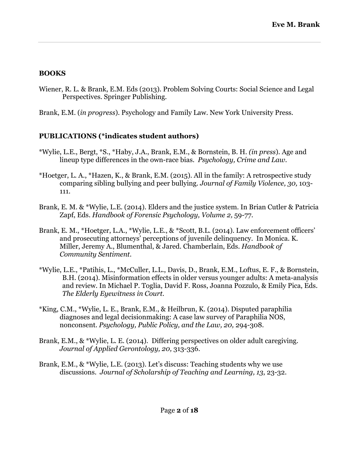### **BOOKS**

- Wiener, R. L. & Brank, E.M. Eds (2013). Problem Solving Courts: Social Science and Legal Perspectives. Springer Publishing.
- Brank, E.M. (*in progress*). Psychology and Family Law. New York University Press.

## **PUBLICATIONS (\*indicates student authors)**

- \*Wylie, L.E., Bergt, \*S., \*Haby, J.A., Brank, E.M., & Bornstein, B. H. *(in press*). Age and lineup type differences in the own-race bias. *Psychology, Crime and Law.*
- \*Hoetger, L. A., \*Hazen, K., & Brank, E.M. (2015). All in the family: A retrospective study comparing sibling bullying and peer bullying. *Journal of Family Violence, 30,* 103- 111.
- Brank, E. M. & \*Wylie, L.E. (2014). Elders and the justice system. In Brian Cutler & Patricia Zapf, Eds. *Handbook of Forensic Psychology, Volume 2,* 59-77*.*
- Brank, E. M., \*Hoetger, L.A., \*Wylie, L.E., & \*Scott, B.L. (2014). Law enforcement officers' and prosecuting attorneys' perceptions of juvenile delinquency. In Monica. K. Miller, Jeremy A., Blumenthal, & Jared. Chamberlain, Eds. *Handbook of Community Sentiment.*
- \*Wylie, L.E., \*Patihis, L., \*McCuller, L.L., Davis, D., Brank, E.M., Loftus, E. F., & Bornstein, B.H. (2014). Misinformation effects in older versus younger adults: A meta-analysis and review. In Michael P. Toglia, David F. Ross, Joanna Pozzulo, & Emily Pica, Eds. *The Elderly Eyewitness in Court.*
- \*King, C.M., \*Wylie, L. E., Brank, E.M., & Heilbrun, K. (2014). Disputed paraphilia diagnoses and legal decisionmaking: A case law survey of Paraphilia NOS, nonconsent. *Psychology, Public Policy, and the Law, 20,* 294-308.
- Brank, E.M., & \*Wylie, L. E. (2014). Differing perspectives on older adult caregiving. *Journal of Applied Gerontology, 20,* 313-336.
- Brank, E.M., & \*Wylie, L.E. (2013). Let's discuss: Teaching students why we use discussions. *Journal of Scholarship of Teaching and Learning, 13*, 23-32.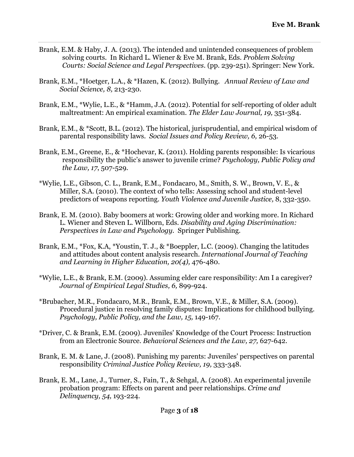- Brank, E.M. & Haby, J. A. (2013). The intended and unintended consequences of problem solving courts. In Richard L. Wiener & Eve M. Brank, Eds. *Problem Solving Courts: Social Science and Legal Perspectives.* (pp. 239-251). Springer: New York.
- Brank, E.M., \*Hoetger, L.A., & \*Hazen, K. (2012). Bullying. *Annual Review of Law and Social Science, 8,* 213-230.
- Brank, E.M., \*Wylie, L.E., & \*Hamm, J.A. (2012). Potential for self-reporting of older adult maltreatment: An empirical examination. *The Elder Law Journal, 19,* 351-384*.*
- Brank, E.M., & \*Scott, B.L. (2012). The historical, jurisprudential, and empirical wisdom of parental responsibility laws. *Social Issues and Policy Review, 6,* 26-53.
- Brank, E.M., Greene, E., & \*Hochevar, K. (2011). Holding parents responsible: Is vicarious responsibility the public's answer to juvenile crime? *Psychology, Public Policy and the Law, 17*, 507-529*.*
- \*Wylie, L.E., Gibson, C. L., Brank, E.M., Fondacaro, M., Smith, S. W., Brown, V. E., & Miller, S.A. (2010). The context of who tells: Assessing school and student-level predictors of weapons reporting. *Youth Violence and Juvenile Justice,* 8, 332-350.
- Brank, E. M. (2010). Baby boomers at work: Growing older and working more. In Richard L. Wiener and Steven L. Willborn, Eds. *Disability and Aging Discrimination: Perspectives in Law and Psychology.* Springer Publishing.
- Brank, E.M., \*Fox, K.A, \*Youstin, T. J., & \*Boeppler, L.C. (2009). Changing the latitudes and attitudes about content analysis research. *International Journal of Teaching and Learning in Higher Education, 20(4),* 476-480.
- \*Wylie, L.E., & Brank, E.M. (2009). Assuming elder care responsibility: Am I a caregiver? *Journal of Empirical Legal Studies, 6,* 899-924.
- \*Brubacher, M.R., Fondacaro, M.R., Brank, E.M., Brown, V.E., & Miller, S.A. (2009). Procedural justice in resolving family disputes: Implications for childhood bullying. *Psychology, Public Policy, and the Law, 15,* 149-167.
- \*Driver, C. & Brank, E.M. (2009). Juveniles' Knowledge of the Court Process: Instruction from an Electronic Source. *Behavioral Sciences and the Law, 27,* 627-642.
- Brank, E. M. & Lane, J. (2008). Punishing my parents: Juveniles' perspectives on parental responsibility *Criminal Justice Policy Review, 19,* 333-348*.*
- Brank, E. M., Lane, J., Turner, S., Fain, T., & Sehgal, A. (2008). An experimental juvenile probation program: Effects on parent and peer relationships. *Crime and Delinquency, 54,* 193-224.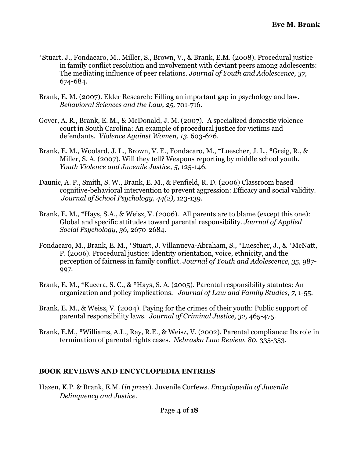- \*Stuart, J., Fondacaro, M., Miller, S., Brown, V., & Brank, E.M. (2008). Procedural justice in family conflict resolution and involvement with deviant peers among adolescents: The mediating influence of peer relations. *Journal of Youth and Adolescence, 37,*  674-684.
- Brank, E. M. (2007). Elder Research: Filling an important gap in psychology and law. *Behavioral Sciences and the Law, 25,* 701-716.
- Gover, A. R., Brank, E. M., & McDonald, J. M. (2007). A specialized domestic violence court in South Carolina: An example of procedural justice for victims and defendants. *Violence Against Women, 13,* 603-626.
- Brank, E. M., Woolard, J. L., Brown, V. E., Fondacaro, M., \*Luescher, J. L., \*Greig, R., & Miller, S. A. (2007). Will they tell? Weapons reporting by middle school youth. *Youth Violence and Juvenile Justice, 5,* 125-146*.*
- Daunic, A. P., Smith, S. W., Brank, E. M., & Penfield, R. D. (2006) Classroom based cognitive-behavioral intervention to prevent aggression: Efficacy and social validity. *Journal of School Psychology, 44(2),* 123-139*.*
- Brank, E. M., \*Hays, S.A., & Weisz, V. (2006). All parents are to blame (except this one): Global and specific attitudes toward parental responsibility*. Journal of Applied Social Psychology, 36,* 2670-2684.
- Fondacaro, M., Brank, E. M., \*Stuart, J. Villanueva-Abraham, S., \*Luescher, J., & \*McNatt, P. (2006). Procedural justice: Identity orientation, voice, ethnicity, and the perception of fairness in family conflict. *Journal of Youth and Adolescence*, *35,* 987- 997.
- Brank, E. M., \*Kucera, S. C., & \*Hays, S. A. (2005). Parental responsibility statutes: An organization and policy implications. *Journal of Law and Family Studies, 7,* 1-55.
- Brank, E. M., & Weisz, V. (2004). Paying for the crimes of their youth: Public support of parental responsibility laws. *Journal of Criminal Justice, 32,* 465-475.
- Brank, E.M., \*Williams, A.L., Ray, R.E., & Weisz, V. (2002). Parental compliance: Its role in termination of parental rights cases. *Nebraska Law Review, 80*, 335-353.

### **BOOK REVIEWS AND ENCYCLOPEDIA ENTRIES**

Hazen, K.P. & Brank, E.M. (*in press*). Juvenile Curfews. *Encyclopedia of Juvenile Delinquency and Justice.*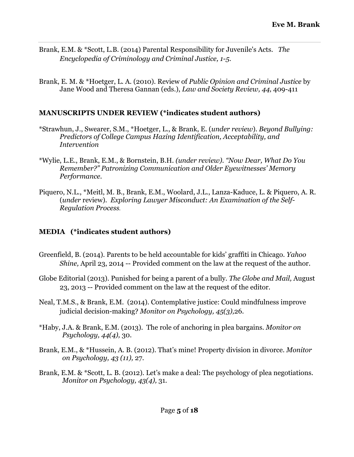- Brank, E.M. & \*Scott, L.B. (2014) Parental Responsibility for Juvenile's Acts. *The Encyclopedia of Criminology and Criminal Justice, 1-5.*
- Brank, E. M. & \*Hoetger, L. A. (2010). Review of *Public Opinion and Criminal Justice* by Jane Wood and Theresa Gannan (eds.), *Law and Society Review, 44,* 409-411

## **MANUSCRIPTS UNDER REVIEW (\*indicates student authors)**

- \*Strawhun, J., Swearer, S.M., \*Hoetger, L., & Brank, E. (*under review*). *Beyond Bullying: Predictors of College Campus Hazing Identification, Acceptability, and Intervention*
- \*Wylie, L.E., Brank, E.M., & Bornstein, B.H. *(under review). "Now Dear, What Do You Remember?" Patronizing Communication and Older Eyewitnesses' Memory Performance.*
- Piquero, N.L., \*Meitl, M. B., Brank, E.M., Woolard, J.L., Lanza-Kaduce, L. & Piquero, A. R. (*under* review). *Exploring Lawyer Misconduct: An Examination of the Self-Regulation Process.*

# **MEDIA (\*indicates student authors)**

- Greenfield, B. (2014). Parents to be held accountable for kids' graffiti in Chicago. *Yahoo Shine,* April 23, 2014 -- Provided comment on the law at the request of the author.
- Globe Editorial (2013). Punished for being a parent of a bully. *The Globe and Mail,* August 23, 2013 -- Provided comment on the law at the request of the editor.
- Neal, T.M.S., & Brank, E.M. (2014). Contemplative justice: Could mindfulness improve judicial decision-making? *Monitor on Psychology, 45(3),*26*.*
- \*Haby, J.A. & Brank, E.M. (2013). The role of anchoring in plea bargains. *Monitor on Psychology, 44(4),* 30.
- Brank, E.M., & \*Hussein, A. B. (2012). That's mine! Property division in divorce. *Monitor on Psychology, 43 (11),* 27.
- Brank, E.M. & \*Scott, L. B. (2012). Let's make a deal: The psychology of plea negotiations. *Monitor on Psychology, 43(4),* 31*.*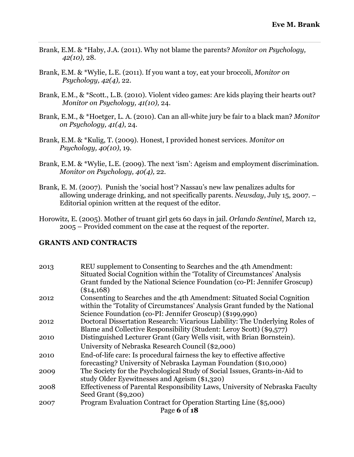- Brank, E.M. & \*Haby, J.A. (2011). Why not blame the parents? *Monitor on Psychology, 42(10),* 28.
- Brank, E.M. & \*Wylie, L.E. (2011). If you want a toy, eat your broccoli, *Monitor on Psychology, 42(4),* 22.
- Brank, E.M., & \*Scott., L.B. (2010). Violent video games: Are kids playing their hearts out? *Monitor on Psychology, 41(10),* 24.
- Brank, E.M., & \*Hoetger, L. A. (2010). Can an all-white jury be fair to a black man? *Monitor on Psychology, 41(4)*, 24.
- Brank, E.M. & \*Kulig, T*.* (2009). Honest, I provided honest services. *Monitor on Psychology, 40(10)*, 19.
- Brank, E.M. & \*Wylie, L.E. (2009). The next 'ism': Ageism and employment discrimination. *Monitor on Psychology, 40(4),* 22.
- Brank, E. M. (2007). Punish the 'social host'? Nassau's new law penalizes adults for allowing underage drinking, and not specifically parents. *Newsday*, July 15, 2007. – Editorial opinion written at the request of the editor.
- Horowitz, E. (2005). Mother of truant girl gets 60 days in jail. *Orlando Sentinel*, March 12, 2005 – Provided comment on the case at the request of the reporter.

#### **GRANTS AND CONTRACTS**

| 2013 | REU supplement to Consenting to Searches and the 4th Amendment:<br>Situated Social Cognition within the 'Totality of Circumstances' Analysis            |
|------|---------------------------------------------------------------------------------------------------------------------------------------------------------|
|      | Grant funded by the National Science Foundation (co-PI: Jennifer Groscup)                                                                               |
|      | $(\$14,168)$                                                                                                                                            |
| 2012 | Consenting to Searches and the 4th Amendment: Situated Social Cognition<br>within the 'Totality of Circumstances' Analysis Grant funded by the National |
|      | Science Foundation (co-PI: Jennifer Groscup) (\$199,990)                                                                                                |
| 2012 | Doctoral Dissertation Research: Vicarious Liability: The Underlying Roles of                                                                            |
|      | Blame and Collective Responsibility (Student: Leroy Scott) (\$9,577)                                                                                    |
| 2010 | Distinguished Lecturer Grant (Gary Wells visit, with Brian Bornstein).                                                                                  |
|      | University of Nebraska Research Council (\$2,000)                                                                                                       |
| 2010 | End-of-life care: Is procedural fairness the key to effective affective                                                                                 |
|      | forecasting? University of Nebraska Layman Foundation (\$10,000)                                                                                        |
| 2009 | The Society for the Psychological Study of Social Issues, Grants-in-Aid to                                                                              |
|      | study Older Eyewitnesses and Ageism (\$1,320)                                                                                                           |
| 2008 | Effectiveness of Parental Responsibility Laws, University of Nebraska Faculty                                                                           |
|      | Seed Grant (\$9,200)                                                                                                                                    |
| 2007 | Program Evaluation Contract for Operation Starting Line (\$5,000)                                                                                       |
|      | Page 6 of 18                                                                                                                                            |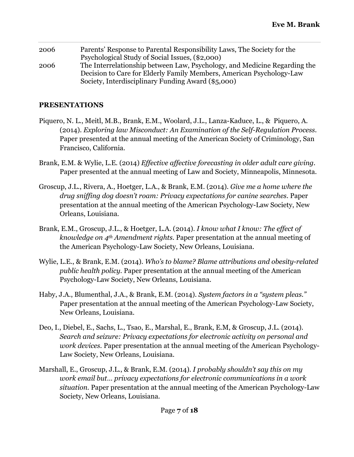| 2006 | Parents' Response to Parental Responsibility Laws, The Society for the    |
|------|---------------------------------------------------------------------------|
|      | Psychological Study of Social Issues, (\$2,000)                           |
| 2006 | The Interrelationship between Law, Psychology, and Medicine Regarding the |
|      | Decision to Care for Elderly Family Members, American Psychology-Law      |
|      | Society, Interdisciplinary Funding Award (\$5,000)                        |

### **PRESENTATIONS**

- Piquero, N. L., Meitl, M.B., Brank, E.M., Woolard, J.L., Lanza-Kaduce, L., & Piquero, A. (2014). *Exploring law Misconduct: An Examination of the Self-Regulation Process.* Paper presented at the annual meeting of the American Society of Criminology, San Francisco, California.
- Brank, E.M. & Wylie, L.E. (2014) *Effective affective forecasting in older adult care giving.* Paper presented at the annual meeting of Law and Society, Minneapolis, Minnesota.
- Groscup, J.L., Rivera, A., Hoetger, L.A., & Brank, E.M. (2014). *Give me a home where the drug sniffing dog doesn't roam: Privacy expectations for canine searches.* Paper presentation at the annual meeting of the American Psychology-Law Society, New Orleans, Louisiana.
- Brank, E.M., Groscup, J.L., & Hoetger, L.A. (2014). *I know what I know: The effect of knowledge on 4th Amendment rights.* Paper presentation at the annual meeting of the American Psychology-Law Society, New Orleans, Louisiana.
- Wylie, L.E., & Brank, E.M. (2014). *Who's to blame? Blame attributions and obesity-related public health policy.* Paper presentation at the annual meeting of the American Psychology-Law Society, New Orleans, Louisiana.
- Haby, J.A., Blumenthal, J.A., & Brank, E.M. (2014). *System factors in a "system pleas."*  Paper presentation at the annual meeting of the American Psychology-Law Society, New Orleans, Louisiana.
- Deo, I., Diebel, E., Sachs, L., Tsao, E., Marshal, E., Brank, E.M, & Groscup, J.L. (2014). *Search and seizure: Privacy expectations for electronic activity on personal and work devices.* Paper presentation at the annual meeting of the American Psychology-Law Society, New Orleans, Louisiana.
- Marshall, E., Groscup, J.L., & Brank, E.M. (2014). *I probably shouldn't say this on my work email but… privacy expectations for electronic communications in a work situation.* Paper presentation at the annual meeting of the American Psychology-Law Society, New Orleans, Louisiana.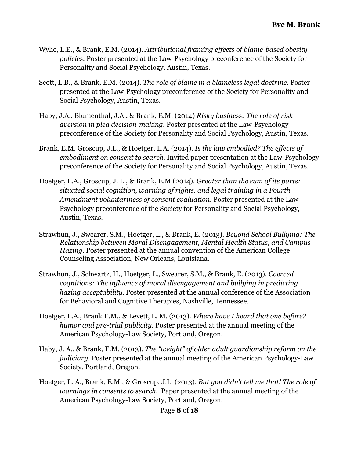- Wylie, L.E., & Brank, E.M. (2014). *Attributional framing effects of blame-based obesity policies*. Poster presented at the Law-Psychology preconference of the Society for Personality and Social Psychology, Austin, Texas.
- Scott, L.B., & Brank, E.M. (2014). *The role of blame in a blameless legal doctrine.* Poster presented at the Law-Psychology preconference of the Society for Personality and Social Psychology, Austin, Texas.
- Haby, J.A., Blumenthal, J.A., & Brank, E.M. (2014) *Risky business: The role of risk aversion in plea decision-making.* Poster presented at the Law-Psychology preconference of the Society for Personality and Social Psychology, Austin, Texas.
- Brank, E.M. Groscup, J.L., & Hoetger, L.A. (2014). *Is the law embodied? The effects of embodiment on consent to search.* Invited paper presentation at the Law-Psychology preconference of the Society for Personality and Social Psychology, Austin, Texas.
- Hoetger, L.A., Groscup, J. L., & Brank, E.M (2014). *Greater than the sum of its parts: situated social cognition, warning of rights, and legal training in a Fourth Amendment voluntariness of consent evaluation.* Poster presented at the Law-Psychology preconference of the Society for Personality and Social Psychology, Austin, Texas.
- Strawhun, J., Swearer, S.M., Hoetger, L., & Brank, E. (2013). *Beyond School Bullying: The Relationship between Moral Disengagement, Mental Health Status, and Campus Hazing*. Poster presented at the annual convention of the American College Counseling Association, New Orleans, Louisiana.
- Strawhun, J., Schwartz, H., Hoetger, L., Swearer, S.M., & Brank, E. (2013). *Coerced cognitions: The influence of moral disengagement and bullying in predicting hazing acceptability.* Poster presented at the annual conference of the Association for Behavioral and Cognitive Therapies, Nashville, Tennessee.
- Hoetger, L.A., Brank.E.M., & Levett, L. M. (2013). *Where have I heard that one before? humor and pre-trial publicity.* Poster presented at the annual meeting of the American Psychology-Law Society, Portland, Oregon.
- Haby, J. A., & Brank, E.M. (2013). *The "weight" of older adult guardianship reform on the judiciary.* Poster presented at the annual meeting of the American Psychology-Law Society, Portland, Oregon.
- Hoetger, L. A., Brank, E.M., & Groscup, J.L. (2013). *But you didn't tell me that! The role of warnings in consents to search.* Paper presented at the annual meeting of the American Psychology-Law Society, Portland, Oregon.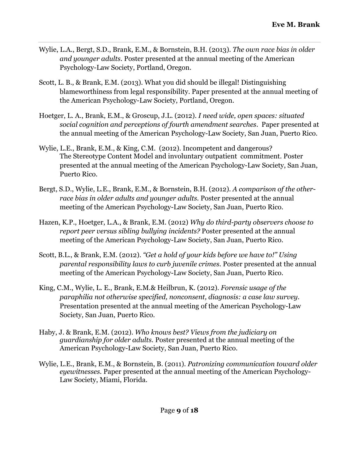- Wylie, L.A., Bergt, S.D., Brank, E.M., & Bornstein, B.H. (2013). *The own race bias in older and younger adults.* Poster presented at the annual meeting of the American Psychology-Law Society, Portland, Oregon.
- Scott, L. B., & Brank, E.M. (2013). What you did should be illegal! Distinguishing blameworthiness from legal responsibility. Paper presented at the annual meeting of the American Psychology-Law Society, Portland, Oregon.
- Hoetger, L. A., Brank, E.M., & Groscup, J.L. (2012). *I need wide, open spaces: situated social cognition and perceptions of fourth amendment searches*. Paper presented at the annual meeting of the American Psychology-Law Society, San Juan, Puerto Rico.
- Wylie, L.E., Brank, E.M., & King, C.M. (2012). Incompetent and dangerous? The Stereotype Content Model and involuntary outpatient commitment. Poster presented at the annual meeting of the American Psychology-Law Society, San Juan, Puerto Rico.
- Bergt, S.D., Wylie, L.E., Brank, E.M., & Bornstein, B.H. (2012). *A comparison of the otherrace bias in older adults and younger adults.* Poster presented at the annual meeting of the American Psychology-Law Society, San Juan, Puerto Rico.
- Hazen, K.P., Hoetger, L.A., & Brank, E.M. (2012) *Why do third-party observers choose to report peer versus sibling bullying incidents?* Poster presented at the annual meeting of the American Psychology-Law Society, San Juan, Puerto Rico.
- Scott, B.L., & Brank, E.M. (2012). *"Get a hold of your kids before we have to!" Using parental responsibility laws to curb juvenile crimes.* Poster presented at the annual meeting of the American Psychology-Law Society, San Juan, Puerto Rico.
- King, C.M., Wylie, L. E., Brank, E.M.& Heilbrun, K. (2012). *Forensic usage of the paraphilia not otherwise specified, nonconsent, diagnosis: a case law survey.* Presentation presented at the annual meeting of the American Psychology-Law Society, San Juan, Puerto Rico.
- Haby, J. & Brank, E.M. (2012). *Who knows best? Views from the judiciary on guardianship for older adults.* Poster presented at the annual meeting of the American Psychology-Law Society, San Juan, Puerto Rico.
- Wylie, L.E., Brank, E.M., & Bornstein, B. (2011). *Patronizing communication toward older eyewitnesses.* Paper presented at the annual meeting of the American Psychology-Law Society, Miami, Florida.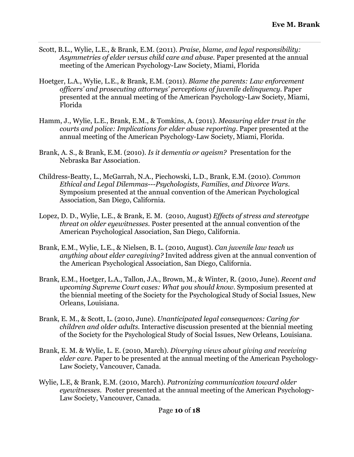- Scott, B.L., Wylie, L.E., & Brank, E.M. (2011). *Praise, blame, and legal responsibility: Asymmetries of elder versus child care and abuse.* Paper presented at the annual meeting of the American Psychology-Law Society, Miami, Florida
- Hoetger, L.A., Wylie, L.E., & Brank, E.M. (2011). *Blame the parents: Law enforcement officers' and prosecuting attorneys' perceptions of juvenile delinquency.* Paper presented at the annual meeting of the American Psychology-Law Society, Miami, Florida
- Hamm, J., Wylie, L.E., Brank, E.M., & Tomkins, A. (2011). *Measuring elder trust in the courts and police: Implications for elder abuse reporting.* Paper presented at the annual meeting of the American Psychology-Law Society, Miami, Florida.
- Brank, A. S., & Brank, E.M. (2010). *Is it dementia or ageism?* Presentation for the Nebraska Bar Association.
- Childress-Beatty, L., McGarrah, N.A., Piechowski, L.D., Brank, E.M. (2010). *Common Ethical and Legal Dilemmas---Psychologists, Families, and Divorce Wars*. Symposium presented at the annual convention of the American Psychological Association, San Diego, California.
- Lopez, D. D., Wylie, L.E., & Brank, E. M. (2010, August) *Effects of stress and stereotype threat on older eyewitnesses.* Poster presented at the annual convention of the American Psychological Association, San Diego, California.
- Brank, E.M., Wylie, L.E., & Nielsen, B. L. (2010, August). *Can juvenile law teach us anything about elder caregiving?* Invited address given at the annual convention of the American Psychological Association, San Diego, California.
- Brank, E.M., Hoetger, L.A., Tallon, J.A., Brown, M., & Winter, R. (2010, June). *Recent and upcoming Supreme Court cases: What you should know.* Symposium presented at the biennial meeting of the Society for the Psychological Study of Social Issues, New Orleans, Louisiana.
- Brank, E. M., & Scott, L. (2010, June). *Unanticipated legal consequences: Caring for children and older adults*. Interactive discussion presented at the biennial meeting of the Society for the Psychological Study of Social Issues, New Orleans, Louisiana.
- Brank, E. M. & Wylie, L. E. (2010, March). *Diverging views about giving and receiving elder care.* Paper to be presented at the annual meeting of the American Psychology-Law Society, Vancouver, Canada.
- Wylie, L.E, & Brank, E.M. (2010, March). *Patronizing communication toward older eyewitnesses.* Poster presented at the annual meeting of the American Psychology-Law Society, Vancouver, Canada.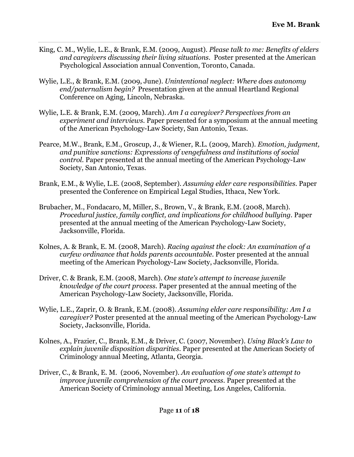- King, C. M., Wylie, L.E., & Brank, E.M. (2009, August). *Please talk to me: Benefits of elders and caregivers discussing their living situations.* Poster presented at the American Psychological Association annual Convention, Toronto, Canada.
- Wylie, L.E., & Brank, E.M. (2009, June). *Unintentional neglect: Where does autonomy end/paternalism begin?* Presentation given at the annual Heartland Regional Conference on Aging, Lincoln, Nebraska.
- Wylie, L.E. & Brank, E.M. (2009, March). *Am I a caregiver? Perspectives from an experiment and interviews.* Paper presented for a symposium at the annual meeting of the American Psychology-Law Society, San Antonio, Texas.
- Pearce, M.W., Brank, E.M., Groscup, J., & Wiener, R.L. (2009, March). *Emotion, judgment, and punitive sanctions: Expressions of vengefulness and institutions of social control.* Paper presented at the annual meeting of the American Psychology-Law Society, San Antonio, Texas.
- Brank, E.M., & Wylie, L.E. (2008, September). *Assuming elder care responsibilities.* Paper presented the Conference on Empirical Legal Studies, Ithaca, New York.
- Brubacher, M., Fondacaro, M, Miller, S., Brown, V., & Brank, E.M. (2008, March). *Procedural justice, family conflict, and implications for childhood bullying. Paper* presented at the annual meeting of the American Psychology-Law Society, Jacksonville, Florida.
- Kolnes, A. & Brank, E. M. (2008, March). *Racing against the clock: An examination of a curfew ordinance that holds parents accountable.* Poster presented at the annual meeting of the American Psychology-Law Society, Jacksonville, Florida.
- Driver, C. & Brank, E.M. (2008, March). *One state's attempt to increase juvenile knowledge of the court process.* Paper presented at the annual meeting of the American Psychology-Law Society, Jacksonville, Florida.
- Wylie, L.E., Zaprir, O. & Brank, E.M. (2008). *Assuming elder care responsibility: Am I a caregiver?* Poster presented at the annual meeting of the American Psychology-Law Society, Jacksonville, Florida.
- Kolnes, A., Frazier, C., Brank, E.M., & Driver, C. (2007, November). *Using Black's Law to explain juvenile disposition disparities.* Paper presented at the American Society of Criminology annual Meeting, Atlanta, Georgia.
- Driver, C., & Brank, E. M. (2006, November). *An evaluation of one state's attempt to improve juvenile comprehension of the court process.* Paper presented at the American Society of Criminology annual Meeting, Los Angeles, California.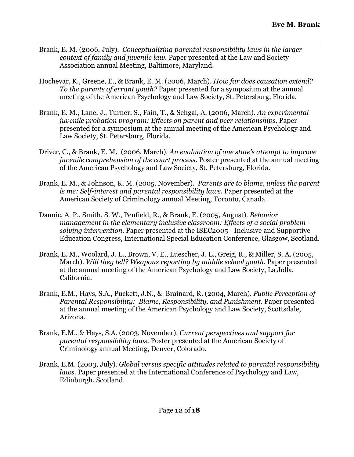- Brank, E. M. (2006, July). *Conceptualizing parental responsibility laws in the larger context of family and juvenile law.* Paper presented at the Law and Society Association annual Meeting, Baltimore, Maryland.
- Hochevar, K., Greene, E., & Brank, E. M. (2006, March). *How far does causation extend? To the parents of errant youth?* Paper presented for a symposium at the annual meeting of the American Psychology and Law Society, St. Petersburg, Florida.
- Brank, E. M., Lane, J., Turner, S., Fain, T., & Sehgal, A. (2006, March). *An experimental juvenile probation program: Effects on parent and peer relationships.* Paper presented for a symposium at the annual meeting of the American Psychology and Law Society, St. Petersburg, Florida.
- Driver, C., & Brank, E. M**.** (2006, March). *An evaluation of one state's attempt to improve juvenile comprehension of the court process*. Poster presented at the annual meeting of the American Psychology and Law Society, St. Petersburg, Florida.
- Brank, E. M., & Johnson, K. M. (2005, November). *Parents are to blame, unless the parent is me: Self-interest and parental responsibility laws.* Paper presented at the American Society of Criminology annual Meeting, Toronto, Canada.
- Daunic, A. P., Smith, S. W., Penfield, R., & Brank, E. (2005, August). *Behavior management in the elementary inclusive classroom: Effects of a social problemsolving intervention.* Paper presented at the ISEC2005 - Inclusive and Supportive Education Congress, International Special Education Conference, Glasgow, Scotland.
- Brank, E. M., Woolard, J. L., Brown, V. E., Luescher, J. L., Greig, R., & Miller, S. A. (2005, March). *Will they tell? Weapons reporting by middle school youth.* Paper presented at the annual meeting of the American Psychology and Law Society, La Jolla, California.
- Brank, E.M., Hays, S.A., Puckett, J.N., & Brainard, R. (2004, March). *Public Perception of Parental Responsibility: Blame, Responsibility, and Punishment*. Paper presented at the annual meeting of the American Psychology and Law Society, Scottsdale, Arizona.
- Brank, E.M., & Hays, S.A. (2003, November). *Current perspectives and support for parental responsibility laws.* Poster presented at the American Society of Criminology annual Meeting, Denver, Colorado.
- Brank, E.M. (2003, July). *Global versus specific attitudes related to parental responsibility laws.* Paper presented at the International Conference of Psychology and Law, Edinburgh, Scotland.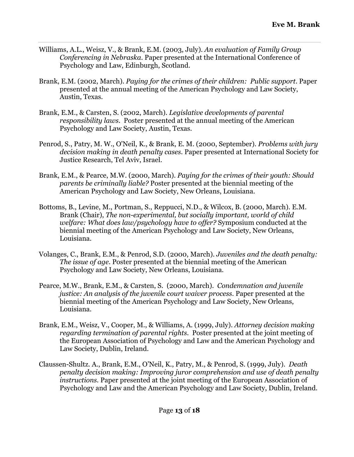- Williams, A.L., Weisz, V., & Brank, E.M. (2003, July). *An evaluation of Family Group Conferencing in Nebraska*. Paper presented at the International Conference of Psychology and Law, Edinburgh, Scotland.
- Brank, E.M. (2002, March). *Paying for the crimes of their children: Public support*. Paper presented at the annual meeting of the American Psychology and Law Society, Austin, Texas.
- Brank, E.M., & Carsten, S. (2002, March). *Legislative developments of parental responsibility laws*. Poster presented at the annual meeting of the American Psychology and Law Society, Austin, Texas.
- Penrod, S., Patry, M. W., O'Neil, K., & Brank, E. M. (2000, September). *Problems with jury decision making in death penalty cases*. Paper presented at International Society for Justice Research, Tel Aviv, Israel.
- Brank, E.M., & Pearce, M.W. (2000, March). *Paying for the crimes of their youth: Should parents be criminally liable?* Poster presented at the biennial meeting of the American Psychology and Law Society, New Orleans, Louisiana.
- Bottoms, B., Levine, M., Portman, S., Reppucci, N.D., & Wilcox, B. (2000, March). E.M. Brank (Chair), *The non-experimental, but socially important, world of child welfare: What does law/psychology have to offer?* Symposium conducted at the biennial meeting of the American Psychology and Law Society, New Orleans, Louisiana.
- Volanges, C., Brank, E.M., & Penrod, S.D. (2000, March). *Juveniles and the death penalty: The issue of age.* Poster presented at the biennial meeting of the American Psychology and Law Society, New Orleans, Louisiana.
- Pearce, M.W., Brank, E.M., & Carsten, S. (2000, March). *Condemnation and juvenile justice: An analysis of the juvenile court waiver process*. Paper presented at the biennial meeting of the American Psychology and Law Society, New Orleans, Louisiana.
- Brank, E.M., Weisz, V., Cooper, M., & Williams, A. (1999, July). *Attorney decision making regarding termination of parental rights*. Poster presented at the joint meeting of the European Association of Psychology and Law and the American Psychology and Law Society, Dublin, Ireland.
- Claussen-Shultz. A., Brank, E.M., O'Neil, K., Patry, M., & Penrod, S. (1999, July). *Death penalty decision making: Improving juror comprehension and use of death penalty instructions.* Paper presented at the joint meeting of the European Association of Psychology and Law and the American Psychology and Law Society, Dublin, Ireland.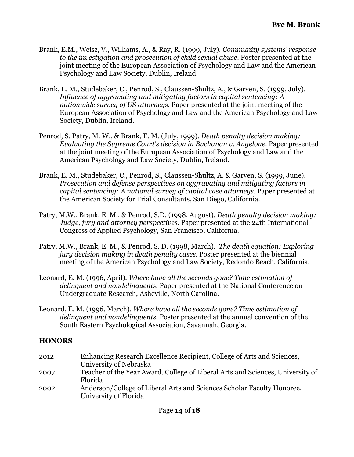- Brank, E.M., Weisz, V., Williams, A., & Ray, R. (1999, July). *Community systems' response to the investigation and prosecution of child sexual abuse*. Poster presented at the joint meeting of the European Association of Psychology and Law and the American Psychology and Law Society, Dublin, Ireland.
- Brank, E. M., Studebaker, C., Penrod, S., Claussen-Shultz, A., & Garven, S. (1999, July). *Influence of aggravating and mitigating factors in capital sentencing: A nationwide survey of US attorneys*. Paper presented at the joint meeting of the European Association of Psychology and Law and the American Psychology and Law Society, Dublin, Ireland.
- Penrod, S. Patry, M. W., & Brank, E. M. (July, 1999). *Death penalty decision making: Evaluating the Supreme Court's decision in Buchanan v. Angelone.* Paper presented at the joint meeting of the European Association of Psychology and Law and the American Psychology and Law Society, Dublin, Ireland.
- Brank, E. M., Studebaker, C., Penrod, S., Claussen-Shultz, A. & Garven, S. (1999, June). *Prosecution and defense perspectives on aggravating and mitigating factors in capital sentencing: A national survey of capital case attorneys*. Paper presented at the American Society for Trial Consultants, San Diego, California.
- Patry, M.W., Brank, E. M., & Penrod, S.D. (1998, August). *Death penalty decision making: Judge, jury and attorney perspectives*. Paper presented at the 24th International Congress of Applied Psychology, San Francisco, California.
- Patry, M.W., Brank, E. M., & Penrod, S. D. (1998, March). *The death equation: Exploring jury decision making in death penalty cases.* Poster presented at the biennial meeting of the American Psychology and Law Society, Redondo Beach, California.
- Leonard, E. M. (1996, April). *Where have all the seconds gone? Time estimation of delinquent and nondelinquents*. Paper presented at the National Conference on Undergraduate Research, Asheville, North Carolina.
- Leonard, E. M. (1996, March). *Where have all the seconds gone? Time estimation of delinquent and nondelinquents.* Poster presented at the annual convention of the South Eastern Psychological Association, Savannah, Georgia.

### **HONORS**

| 2012 | Enhancing Research Excellence Recipient, College of Arts and Sciences,<br>University of Nebraska |
|------|--------------------------------------------------------------------------------------------------|
| 2007 | Teacher of the Year Award, College of Liberal Arts and Sciences, University of<br>Florida        |
| 2002 | Anderson/College of Liberal Arts and Sciences Scholar Faculty Honoree,<br>University of Florida  |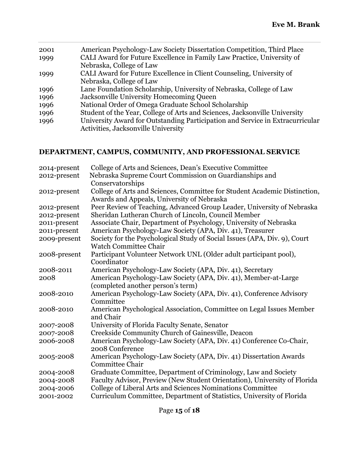| 2001 | American Psychology-Law Society Dissertation Competition, Third Place         |
|------|-------------------------------------------------------------------------------|
| 1999 | CALI Award for Future Excellence in Family Law Practice, University of        |
|      | Nebraska, College of Law                                                      |
| 1999 | CALI Award for Future Excellence in Client Counseling, University of          |
|      | Nebraska, College of Law                                                      |
| 1996 | Lane Foundation Scholarship, University of Nebraska, College of Law           |
| 1996 | Jacksonville University Homecoming Queen                                      |
| 1996 | National Order of Omega Graduate School Scholarship                           |
| 1996 | Student of the Year, College of Arts and Sciences, Jacksonville University    |
| 1996 | University Award for Outstanding Participation and Service in Extracurricular |
|      | Activities, Jacksonville University                                           |
|      |                                                                               |

## **DEPARTMENT, CAMPUS, COMMUNITY, AND PROFESSIONAL SERVICE**

| 2014-present | College of Arts and Sciences, Dean's Executive Committee                  |
|--------------|---------------------------------------------------------------------------|
| 2012-present | Nebraska Supreme Court Commission on Guardianships and                    |
|              | Conservatorships                                                          |
| 2012-present | College of Arts and Sciences, Committee for Student Academic Distinction, |
|              | Awards and Appeals, University of Nebraska                                |
| 2012-present | Peer Review of Teaching, Advanced Group Leader, University of Nebraska    |
| 2012-present | Sheridan Lutheran Church of Lincoln, Council Member                       |
| 2011-present | Associate Chair, Department of Psychology, University of Nebraska         |
| 2011-present | American Psychology-Law Society (APA, Div. 41), Treasurer                 |
| 2009-present | Society for the Psychological Study of Social Issues (APA, Div. 9), Court |
|              | <b>Watch Committee Chair</b>                                              |
| 2008-present | Participant Volunteer Network UNL (Older adult participant pool),         |
|              | Coordinator                                                               |
| 2008-2011    | American Psychology-Law Society (APA, Div. 41), Secretary                 |
| 2008         | American Psychology-Law Society (APA, Div. 41), Member-at-Large           |
|              | (completed another person's term)                                         |
| 2008-2010    | American Psychology-Law Society (APA, Div. 41), Conference Advisory       |
|              | Committee                                                                 |
| 2008-2010    | American Psychological Association, Committee on Legal Issues Member      |
|              | and Chair                                                                 |
| 2007-2008    | University of Florida Faculty Senate, Senator                             |
| 2007-2008    | Creekside Community Church of Gainesville, Deacon                         |
| 2006-2008    | American Psychology-Law Society (APA, Div. 41) Conference Co-Chair,       |
|              | 2008 Conference                                                           |
| 2005-2008    | American Psychology-Law Society (APA, Div. 41) Dissertation Awards        |
|              | <b>Committee Chair</b>                                                    |
| 2004-2008    | Graduate Committee, Department of Criminology, Law and Society            |
| 2004-2008    | Faculty Advisor, Preview (New Student Orientation), University of Florida |
| 2004-2006    | College of Liberal Arts and Sciences Nominations Committee                |
| 2001-2002    | Curriculum Committee, Department of Statistics, University of Florida     |
|              |                                                                           |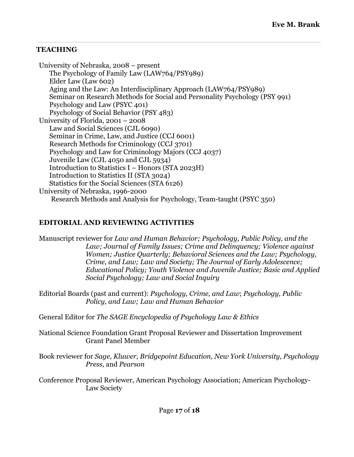## **TEACHING**

University of Nebraska, 2008 – present The Psychology of Family Law (LAW764/PSY989) Elder Law (Law 602) Aging and the Law: An Interdisciplinary Approach (LAW764/PSY989) Seminar on Research Methods for Social and Personality Psychology (PSY 991) Psychology and Law (PSYC 401) Psychology of Social Behavior (PSY 483) University of Florida, 2001 – 2008 Law and Social Sciences (CJL 6090) Seminar in Crime, Law, and Justice (CCJ 6001) Research Methods for Criminology (CCJ 3701) Psychology and Law for Criminology Majors (CCJ 4037) Juvenile Law (CJL 4050 and CJL 5934) Introduction to Statistics I – Honors (STA 2023H) Introduction to Statistics II (STA 3024) Statistics for the Social Sciences (STA 6126) University of Nebraska, 1996-2000 Research Methods and Analysis for Psychology, Team-taught (PSYC 350)

### **EDITORIAL AND REVIEWING ACTIVITIES**

Manuscript reviewer for *Law and Human Behavior; Psychology, Public Policy, and the Law; Journal of Family Issues; Crime and Delinquency; Violence against Women; Justice Quarterly; Behavioral Sciences and the Law; Psychology, Crime, and Law; Law and Society; The Journal of Early Adolescence; Educational Policy; Youth Violence and Juvenile Justice; Basic and Applied Social Psychology; Law and Social Inquiry*

Editorial Boards (past and current): *Psychology, Crime, and Law*; *Psychology, Public Policy, and Law; Law and Human Behavior*

General Editor for *The SAGE Encyclopedia of Psychology Law & Ethics*

National Science Foundation Grant Proposal Reviewer and Dissertation Improvement Grant Panel Member

Book reviewer for *Sage*, *Kluwer, Bridgepoint Education, New York University, Psychology Press,* and *Pearson* 

Conference Proposal Reviewer, American Psychology Association; American Psychology-Law Society